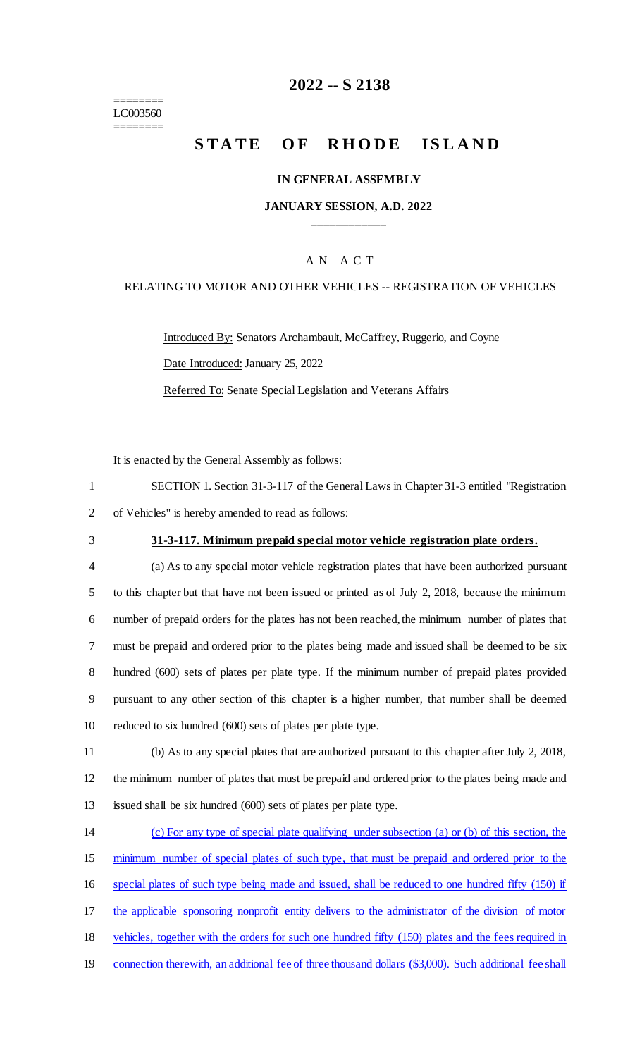======== LC003560 ========

## **2022 -- S 2138**

# **STATE OF RHODE ISLAND**

### **IN GENERAL ASSEMBLY**

### **JANUARY SESSION, A.D. 2022 \_\_\_\_\_\_\_\_\_\_\_\_**

## A N A C T

### RELATING TO MOTOR AND OTHER VEHICLES -- REGISTRATION OF VEHICLES

Introduced By: Senators Archambault, McCaffrey, Ruggerio, and Coyne Date Introduced: January 25, 2022

Referred To: Senate Special Legislation and Veterans Affairs

It is enacted by the General Assembly as follows:

| SECTION 1. Section 31-3-117 of the General Laws in Chapter 31-3 entitled "Registration" |
|-----------------------------------------------------------------------------------------|
| 2 of Vehicles" is hereby amended to read as follows:                                    |

### 3 **31-3-117. Minimum prepaid special motor vehicle registration plate orders.**

 (a) As to any special motor vehicle registration plates that have been authorized pursuant to this chapter but that have not been issued or printed as of July 2, 2018, because the minimum number of prepaid orders for the plates has not been reached, the minimum number of plates that must be prepaid and ordered prior to the plates being made and issued shall be deemed to be six hundred (600) sets of plates per plate type. If the minimum number of prepaid plates provided pursuant to any other section of this chapter is a higher number, that number shall be deemed reduced to six hundred (600) sets of plates per plate type.

11 (b) As to any special plates that are authorized pursuant to this chapter after July 2, 2018, 12 the minimum number of plates that must be prepaid and ordered prior to the plates being made and 13 issued shall be six hundred (600) sets of plates per plate type.

 (c) For any type of special plate qualifying under subsection (a) or (b) of this section, the minimum number of special plates of such type, that must be prepaid and ordered prior to the special plates of such type being made and issued, shall be reduced to one hundred fifty (150) if 17 the applicable sponsoring nonprofit entity delivers to the administrator of the division of motor vehicles, together with the orders for such one hundred fifty (150) plates and the fees required in connection therewith, an additional fee of three thousand dollars (\$3,000). Such additional fee shall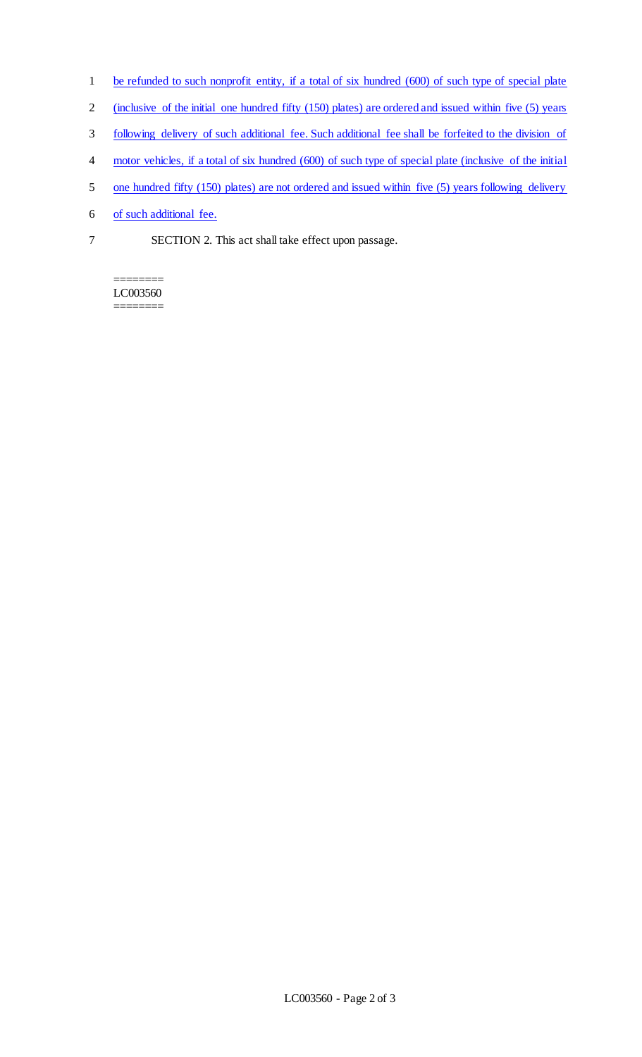- 1 be refunded to such nonprofit entity, if a total of six hundred (600) of such type of special plate
- 2 (inclusive of the initial one hundred fifty (150) plates) are ordered and issued within five (5) years
- 3 following delivery of such additional fee. Such additional fee shall be forfeited to the division of
- 4 motor vehicles, if a total of six hundred (600) of such type of special plate (inclusive of the initial
- 5 one hundred fifty (150) plates) are not ordered and issued within five (5) years following delivery
- 6 of such additional fee.
- 7 SECTION 2. This act shall take effect upon passage.

#### ======== LC003560 ========